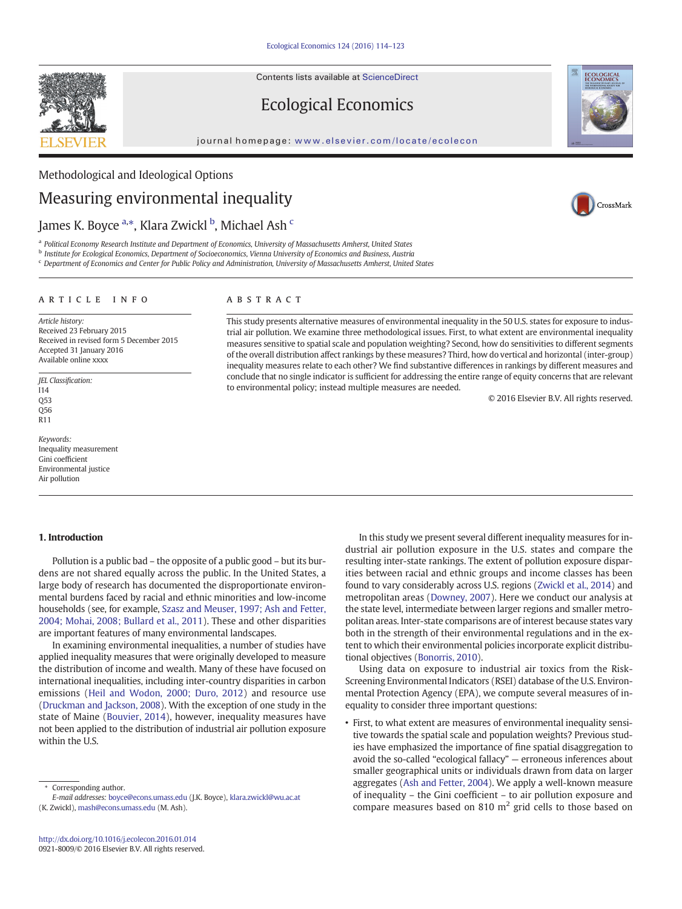Contents lists available at ScienceDirect

# Ecological Economics

journal homepage: <www.elsevier.com/locate/ecolecon>

### Methodological and Ideological Options

# Measuring environmental inequality

## James K. Boyce <sup>a,\*</sup>, Klara Zwickl <sup>b</sup>, Michael Ash <sup>c</sup>

a Political Economy Research Institute and Department of Economics, University of Massachusetts Amherst, United States

<sup>b</sup> Institute for Ecological Economics, Department of Socioeconomics, Vienna University of Economics and Business, Austria

<sup>c</sup> Department of Economics and Center for Public Policy and Administration, University of Massachusetts Amherst, United States

### article info abstract

Article history: Received 23 February 2015 Received in revised form 5 December 2015 Accepted 31 January 2016 Available online xxxx

- JEL Classification: I14 O<sub>53</sub> O<sub>56</sub> R11
- Keywords: Inequality measurement Gini coefficient Environmental justice Air pollution

This study presents alternative measures of environmental inequality in the 50 U.S. states for exposure to industrial air pollution. We examine three methodological issues. First, to what extent are environmental inequality measures sensitive to spatial scale and population weighting? Second, how do sensitivities to different segments of the overall distribution affect rankings by these measures? Third, how do vertical and horizontal (inter-group) inequality measures relate to each other? We find substantive differences in rankings by different measures and conclude that no single indicator is sufficient for addressing the entire range of equity concerns that are relevant to environmental policy; instead multiple measures are needed.

© 2016 Elsevier B.V. All rights reserved.

#### 1. Introduction

Pollution is a public bad – the opposite of a public good – but its burdens are not shared equally across the public. In the United States, a large body of research has documented the disproportionate environmental burdens faced by racial and ethnic minorities and low-income households (see, for example, [Szasz and Meuser, 1997; Ash and Fetter,](#page-9-0) [2004; Mohai, 2008; Bullard et al., 2011](#page-9-0)). These and other disparities are important features of many environmental landscapes.

In examining environmental inequalities, a number of studies have applied inequality measures that were originally developed to measure the distribution of income and wealth. Many of these have focused on international inequalities, including inter-country disparities in carbon emissions [\(Heil and Wodon, 2000; Duro, 2012\)](#page-9-0) and resource use [\(Druckman and Jackson, 2008](#page-9-0)). With the exception of one study in the state of Maine [\(Bouvier, 2014\)](#page-9-0), however, inequality measures have not been applied to the distribution of industrial air pollution exposure within the U.S.

⁎ Corresponding author.

In this study we present several different inequality measures for industrial air pollution exposure in the U.S. states and compare the resulting inter-state rankings. The extent of pollution exposure disparities between racial and ethnic groups and income classes has been found to vary considerably across U.S. regions ([Zwickl et al., 2014\)](#page-9-0) and metropolitan areas [\(Downey, 2007\)](#page-9-0). Here we conduct our analysis at the state level, intermediate between larger regions and smaller metropolitan areas. Inter-state comparisons are of interest because states vary both in the strength of their environmental regulations and in the extent to which their environmental policies incorporate explicit distributional objectives [\(Bonorris, 2010\)](#page-9-0).

Using data on exposure to industrial air toxics from the Risk-Screening Environmental Indicators (RSEI) database of the U.S. Environmental Protection Agency (EPA), we compute several measures of inequality to consider three important questions:

• First, to what extent are measures of environmental inequality sensitive towards the spatial scale and population weights? Previous studies have emphasized the importance of fine spatial disaggregation to avoid the so-called "ecological fallacy" — erroneous inferences about smaller geographical units or individuals drawn from data on larger aggregates [\(Ash and Fetter, 2004](#page-9-0)). We apply a well-known measure of inequality – the Gini coefficient – to air pollution exposure and compare measures based on 810  $m<sup>2</sup>$  grid cells to those based on





E-mail addresses: boyce@econs.umass.edu (J.K. Boyce), klara.zwickl@wu.ac.at (K. Zwickl), [mash@econs.umass.edu](mailto:mash@econs.umass.edu) (M. Ash).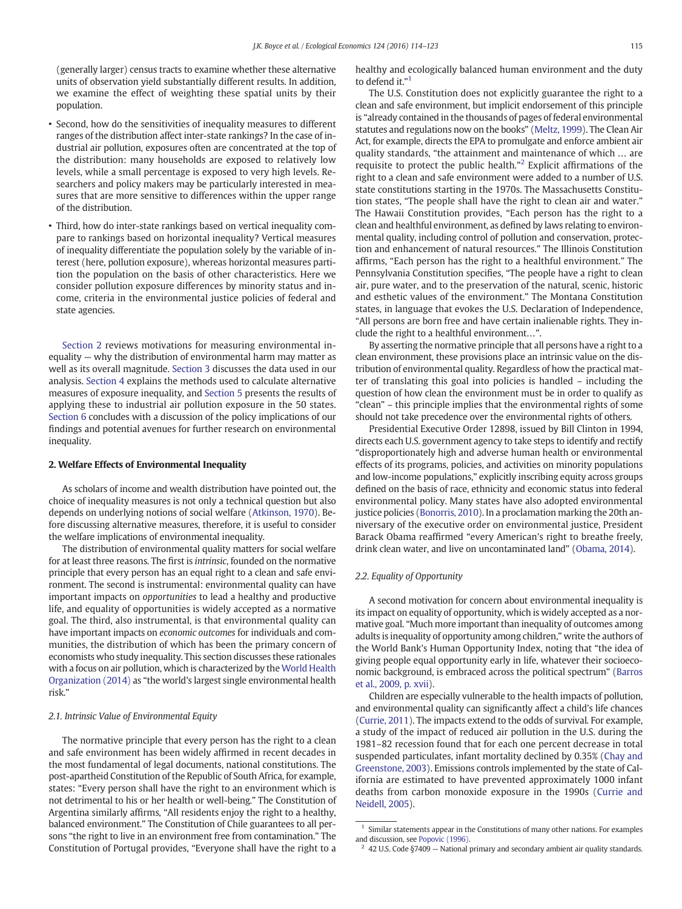(generally larger) census tracts to examine whether these alternative units of observation yield substantially different results. In addition, we examine the effect of weighting these spatial units by their population.

- Second, how do the sensitivities of inequality measures to different ranges of the distribution affect inter-state rankings? In the case of industrial air pollution, exposures often are concentrated at the top of the distribution: many households are exposed to relatively low levels, while a small percentage is exposed to very high levels. Researchers and policy makers may be particularly interested in measures that are more sensitive to differences within the upper range of the distribution.
- Third, how do inter-state rankings based on vertical inequality compare to rankings based on horizontal inequality? Vertical measures of inequality differentiate the population solely by the variable of interest (here, pollution exposure), whereas horizontal measures partition the population on the basis of other characteristics. Here we consider pollution exposure differences by minority status and income, criteria in the environmental justice policies of federal and state agencies.

Section 2 reviews motivations for measuring environmental inequality — why the distribution of environmental harm may matter as well as its overall magnitude. [Section 3](#page-2-0) discusses the data used in our analysis. [Section 4](#page-4-0) explains the methods used to calculate alternative measures of exposure inequality, and [Section 5](#page-5-0) presents the results of applying these to industrial air pollution exposure in the 50 states. [Section 6](#page-6-0) concludes with a discussion of the policy implications of our findings and potential avenues for further research on environmental inequality.

#### 2. Welfare Effects of Environmental Inequality

As scholars of income and wealth distribution have pointed out, the choice of inequality measures is not only a technical question but also depends on underlying notions of social welfare [\(Atkinson, 1970](#page-9-0)). Before discussing alternative measures, therefore, it is useful to consider the welfare implications of environmental inequality.

The distribution of environmental quality matters for social welfare for at least three reasons. The first is intrinsic, founded on the normative principle that every person has an equal right to a clean and safe environment. The second is instrumental: environmental quality can have important impacts on opportunities to lead a healthy and productive life, and equality of opportunities is widely accepted as a normative goal. The third, also instrumental, is that environmental quality can have important impacts on economic outcomes for individuals and communities, the distribution of which has been the primary concern of economists who study inequality. This section discusses these rationales with a focus on air pollution, which is characterized by the [World Health](#page-9-0) [Organization \(2014\)](#page-9-0) as "the world's largest single environmental health risk."

#### 2.1. Intrinsic Value of Environmental Equity

The normative principle that every person has the right to a clean and safe environment has been widely affirmed in recent decades in the most fundamental of legal documents, national constitutions. The post-apartheid Constitution of the Republic of South Africa, for example, states: "Every person shall have the right to an environment which is not detrimental to his or her health or well-being." The Constitution of Argentina similarly affirms, "All residents enjoy the right to a healthy, balanced environment." The Constitution of Chile guarantees to all persons "the right to live in an environment free from contamination." The Constitution of Portugal provides, "Everyone shall have the right to a

healthy and ecologically balanced human environment and the duty to defend it."<sup>1</sup>

The U.S. Constitution does not explicitly guarantee the right to a clean and safe environment, but implicit endorsement of this principle is "already contained in the thousands of pages of federal environmental statutes and regulations now on the books" [\(Meltz, 1999](#page-9-0)). The Clean Air Act, for example, directs the EPA to promulgate and enforce ambient air quality standards, "the attainment and maintenance of which … are requisite to protect the public health."<sup>2</sup> Explicit affirmations of the right to a clean and safe environment were added to a number of U.S. state constitutions starting in the 1970s. The Massachusetts Constitution states, "The people shall have the right to clean air and water." The Hawaii Constitution provides, "Each person has the right to a clean and healthful environment, as defined by laws relating to environmental quality, including control of pollution and conservation, protection and enhancement of natural resources." The Illinois Constitution affirms, "Each person has the right to a healthful environment." The Pennsylvania Constitution specifies, "The people have a right to clean air, pure water, and to the preservation of the natural, scenic, historic and esthetic values of the environment." The Montana Constitution states, in language that evokes the U.S. Declaration of Independence, "All persons are born free and have certain inalienable rights. They include the right to a healthful environment…".

By asserting the normative principle that all persons have a right to a clean environment, these provisions place an intrinsic value on the distribution of environmental quality. Regardless of how the practical matter of translating this goal into policies is handled – including the question of how clean the environment must be in order to qualify as "clean" – this principle implies that the environmental rights of some should not take precedence over the environmental rights of others.

Presidential Executive Order 12898, issued by Bill Clinton in 1994, directs each U.S. government agency to take steps to identify and rectify "disproportionately high and adverse human health or environmental effects of its programs, policies, and activities on minority populations and low-income populations," explicitly inscribing equity across groups defined on the basis of race, ethnicity and economic status into federal environmental policy. Many states have also adopted environmental justice policies ([Bonorris, 2010\)](#page-9-0). In a proclamation marking the 20th anniversary of the executive order on environmental justice, President Barack Obama reaffirmed "every American's right to breathe freely, drink clean water, and live on uncontaminated land" [\(Obama, 2014\)](#page-9-0).

#### 2.2. Equality of Opportunity

A second motivation for concern about environmental inequality is its impact on equality of opportunity, which is widely accepted as a normative goal. "Much more important than inequality of outcomes among adults is inequality of opportunity among children," write the authors of the World Bank's Human Opportunity Index, noting that "the idea of giving people equal opportunity early in life, whatever their socioeconomic background, is embraced across the political spectrum" ([Barros](#page-9-0) [et al., 2009, p. xvii](#page-9-0)).

Children are especially vulnerable to the health impacts of pollution, and environmental quality can significantly affect a child's life chances [\(Currie, 2011](#page-9-0)). The impacts extend to the odds of survival. For example, a study of the impact of reduced air pollution in the U.S. during the 1981–82 recession found that for each one percent decrease in total suspended particulates, infant mortality declined by 0.35% ([Chay and](#page-9-0) [Greenstone, 2003](#page-9-0)). Emissions controls implemented by the state of California are estimated to have prevented approximately 1000 infant deaths from carbon monoxide exposure in the 1990s ([Currie and](#page-9-0) [Neidell, 2005](#page-9-0)).

 $^{\rm 1}$  Similar statements appear in the Constitutions of many other nations. For examples and discussion, see [Popovic \(1996\)](#page-9-0).

<sup>2</sup> 42 U.S. Code §7409 — National primary and secondary ambient air quality standards.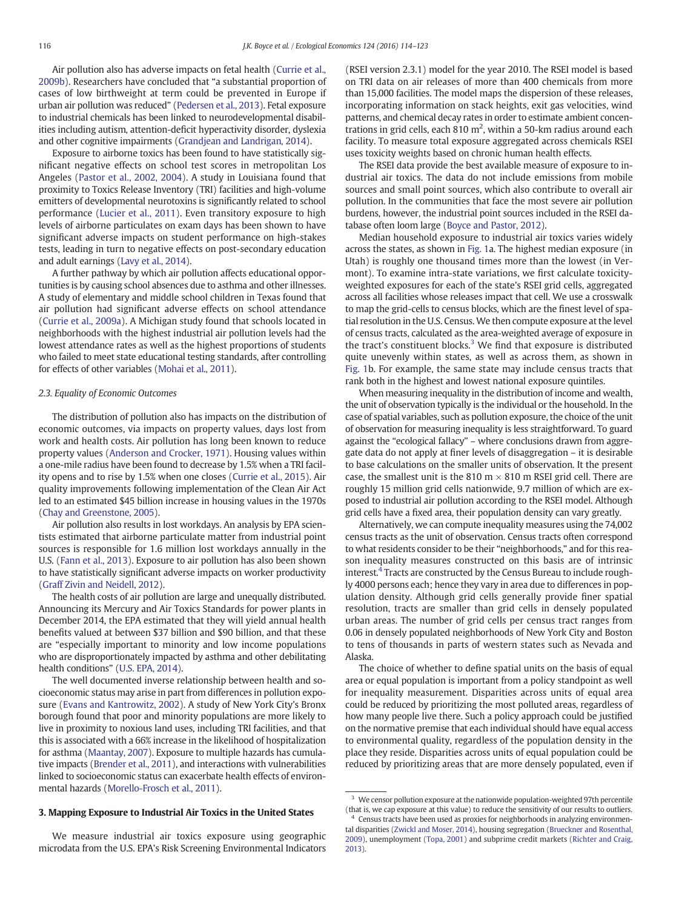<span id="page-2-0"></span>Air pollution also has adverse impacts on fetal health ([Currie et al.,](#page-9-0) [2009b](#page-9-0)). Researchers have concluded that "a substantial proportion of cases of low birthweight at term could be prevented in Europe if urban air pollution was reduced" ([Pedersen et al., 2013\)](#page-9-0). Fetal exposure to industrial chemicals has been linked to neurodevelopmental disabilities including autism, attention-deficit hyperactivity disorder, dyslexia and other cognitive impairments ([Grandjean and Landrigan, 2014](#page-9-0)).

Exposure to airborne toxics has been found to have statistically significant negative effects on school test scores in metropolitan Los Angeles ([Pastor et al., 2002, 2004\)](#page-9-0). A study in Louisiana found that proximity to Toxics Release Inventory (TRI) facilities and high-volume emitters of developmental neurotoxins is significantly related to school performance [\(Lucier et al., 2011\)](#page-9-0). Even transitory exposure to high levels of airborne particulates on exam days has been shown to have significant adverse impacts on student performance on high-stakes tests, leading in turn to negative effects on post-secondary education and adult earnings [\(Lavy et al., 2014](#page-9-0)).

A further pathway by which air pollution affects educational opportunities is by causing school absences due to asthma and other illnesses. A study of elementary and middle school children in Texas found that air pollution had significant adverse effects on school attendance [\(Currie et al., 2009a\)](#page-9-0). A Michigan study found that schools located in neighborhoods with the highest industrial air pollution levels had the lowest attendance rates as well as the highest proportions of students who failed to meet state educational testing standards, after controlling for effects of other variables [\(Mohai et al., 2011](#page-9-0)).

#### 2.3. Equality of Economic Outcomes

The distribution of pollution also has impacts on the distribution of economic outcomes, via impacts on property values, days lost from work and health costs. Air pollution has long been known to reduce property values ([Anderson and Crocker, 1971](#page-9-0)). Housing values within a one-mile radius have been found to decrease by 1.5% when a TRI facility opens and to rise by 1.5% when one closes [\(Currie et al., 2015\)](#page-9-0). Air quality improvements following implementation of the Clean Air Act led to an estimated \$45 billion increase in housing values in the 1970s [\(Chay and Greenstone, 2005\)](#page-9-0).

Air pollution also results in lost workdays. An analysis by EPA scientists estimated that airborne particulate matter from industrial point sources is responsible for 1.6 million lost workdays annually in the U.S. ([Fann et al., 2013\)](#page-9-0). Exposure to air pollution has also been shown to have statistically significant adverse impacts on worker productivity [\(Graff Zivin and Neidell, 2012\)](#page-9-0).

The health costs of air pollution are large and unequally distributed. Announcing its Mercury and Air Toxics Standards for power plants in December 2014, the EPA estimated that they will yield annual health benefits valued at between \$37 billion and \$90 billion, and that these are "especially important to minority and low income populations who are disproportionately impacted by asthma and other debilitating health conditions" [\(U.S. EPA, 2014\)](#page-9-0).

The well documented inverse relationship between health and socioeconomic status may arise in part from differences in pollution exposure (Evans [and Kantrowitz, 2002\)](#page-9-0). A study of New York City's Bronx borough found that poor and minority populations are more likely to live in proximity to noxious land uses, including TRI facilities, and that this is associated with a 66% increase in the likelihood of hospitalization for asthma [\(Maantay, 2007](#page-9-0)). Exposure to multiple hazards has cumulative impacts [\(Brender et al., 2011](#page-9-0)), and interactions with vulnerabilities linked to socioeconomic status can exacerbate health effects of environmental hazards [\(Morello-Frosch et al., 2011\)](#page-9-0).

#### 3. Mapping Exposure to Industrial Air Toxics in the United States

We measure industrial air toxics exposure using geographic microdata from the U.S. EPA's Risk Screening Environmental Indicators (RSEI version 2.3.1) model for the year 2010. The RSEI model is based on TRI data on air releases of more than 400 chemicals from more than 15,000 facilities. The model maps the dispersion of these releases, incorporating information on stack heights, exit gas velocities, wind patterns, and chemical decay rates in order to estimate ambient concentrations in grid cells, each 810  $m<sup>2</sup>$ , within a 50-km radius around each facility. To measure total exposure aggregated across chemicals RSEI uses toxicity weights based on chronic human health effects.

The RSEI data provide the best available measure of exposure to industrial air toxics. The data do not include emissions from mobile sources and small point sources, which also contribute to overall air pollution. In the communities that face the most severe air pollution burdens, however, the industrial point sources included in the RSEI database often loom large [\(Boyce and Pastor, 2012\)](#page-9-0).

Median household exposure to industrial air toxics varies widely across the states, as shown in [Fig. 1](#page-3-0)a. The highest median exposure (in Utah) is roughly one thousand times more than the lowest (in Vermont). To examine intra-state variations, we first calculate toxicityweighted exposures for each of the state's RSEI grid cells, aggregated across all facilities whose releases impact that cell. We use a crosswalk to map the grid-cells to census blocks, which are the finest level of spatial resolution in the U.S. Census.We then compute exposure at the level of census tracts, calculated as the area-weighted average of exposure in the tract's constituent blocks. $3$  We find that exposure is distributed quite unevenly within states, as well as across them, as shown in [Fig. 1b](#page-3-0). For example, the same state may include census tracts that rank both in the highest and lowest national exposure quintiles.

When measuring inequality in the distribution of income and wealth, the unit of observation typically is the individual or the household. In the case of spatial variables, such as pollution exposure, the choice of the unit of observation for measuring inequality is less straightforward. To guard against the "ecological fallacy" – where conclusions drawn from aggregate data do not apply at finer levels of disaggregation – it is desirable to base calculations on the smaller units of observation. It the present case, the smallest unit is the 810 m  $\times$  810 m RSEI grid cell. There are roughly 15 million grid cells nationwide, 9.7 million of which are exposed to industrial air pollution according to the RSEI model. Although grid cells have a fixed area, their population density can vary greatly.

Alternatively, we can compute inequality measures using the 74,002 census tracts as the unit of observation. Census tracts often correspond to what residents consider to be their "neighborhoods," and for this reason inequality measures constructed on this basis are of intrinsic interest.<sup>4</sup> Tracts are constructed by the Census Bureau to include roughly 4000 persons each; hence they vary in area due to differences in population density. Although grid cells generally provide finer spatial resolution, tracts are smaller than grid cells in densely populated urban areas. The number of grid cells per census tract ranges from 0.06 in densely populated neighborhoods of New York City and Boston to tens of thousands in parts of western states such as Nevada and Alaska.

The choice of whether to define spatial units on the basis of equal area or equal population is important from a policy standpoint as well for inequality measurement. Disparities across units of equal area could be reduced by prioritizing the most polluted areas, regardless of how many people live there. Such a policy approach could be justified on the normative premise that each individual should have equal access to environmental quality, regardless of the population density in the place they reside. Disparities across units of equal population could be reduced by prioritizing areas that are more densely populated, even if

 $3$  We censor pollution exposure at the nationwide population-weighted 97th percentile (that is, we cap exposure at this value) to reduce the sensitivity of our results to outliers.

<sup>4</sup> Census tracts have been used as proxies for neighborhoods in analyzing environmental disparities [\(Zwickl and Moser, 2014\)](#page-9-0), housing segregation [\(Brueckner and Rosenthal,](#page-9-0) [2009\)](#page-9-0), unemployment ([Topa, 2001](#page-9-0)) and subprime credit markets [\(Richter and Craig,](#page-9-0) [2013\)](#page-9-0).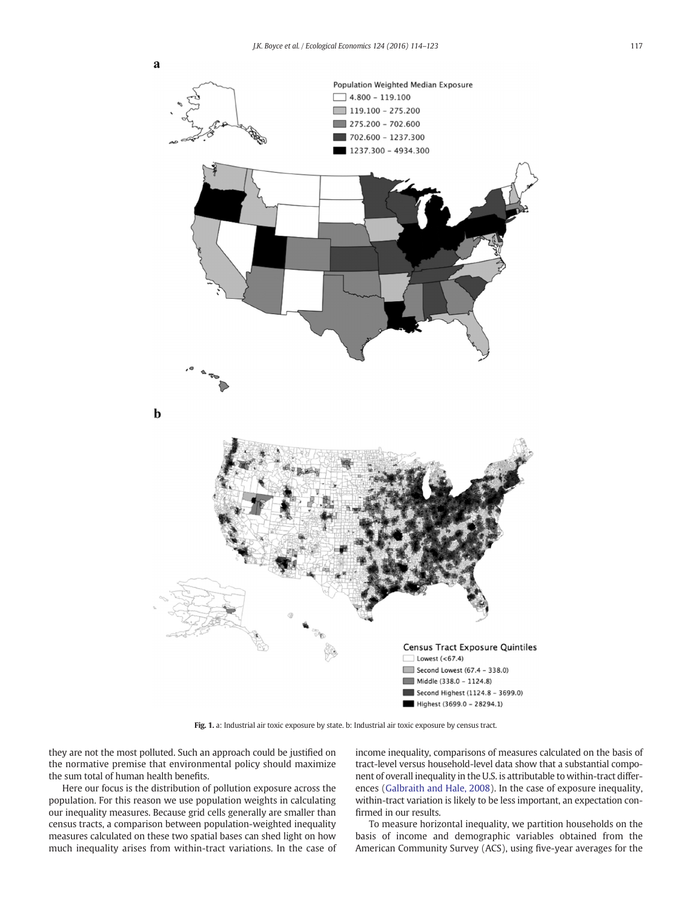<span id="page-3-0"></span>

Fig. 1. a: Industrial air toxic exposure by state. b: Industrial air toxic exposure by census tract.

they are not the most polluted. Such an approach could be justified on the normative premise that environmental policy should maximize the sum total of human health benefits.

Here our focus is the distribution of pollution exposure across the population. For this reason we use population weights in calculating our inequality measures. Because grid cells generally are smaller than census tracts, a comparison between population-weighted inequality measures calculated on these two spatial bases can shed light on how much inequality arises from within-tract variations. In the case of income inequality, comparisons of measures calculated on the basis of tract-level versus household-level data show that a substantial component of overall inequality in the U.S. is attributable to within-tract differences ([Galbraith and Hale, 2008](#page-9-0)). In the case of exposure inequality, within-tract variation is likely to be less important, an expectation confirmed in our results.

To measure horizontal inequality, we partition households on the basis of income and demographic variables obtained from the American Community Survey (ACS), using five-year averages for the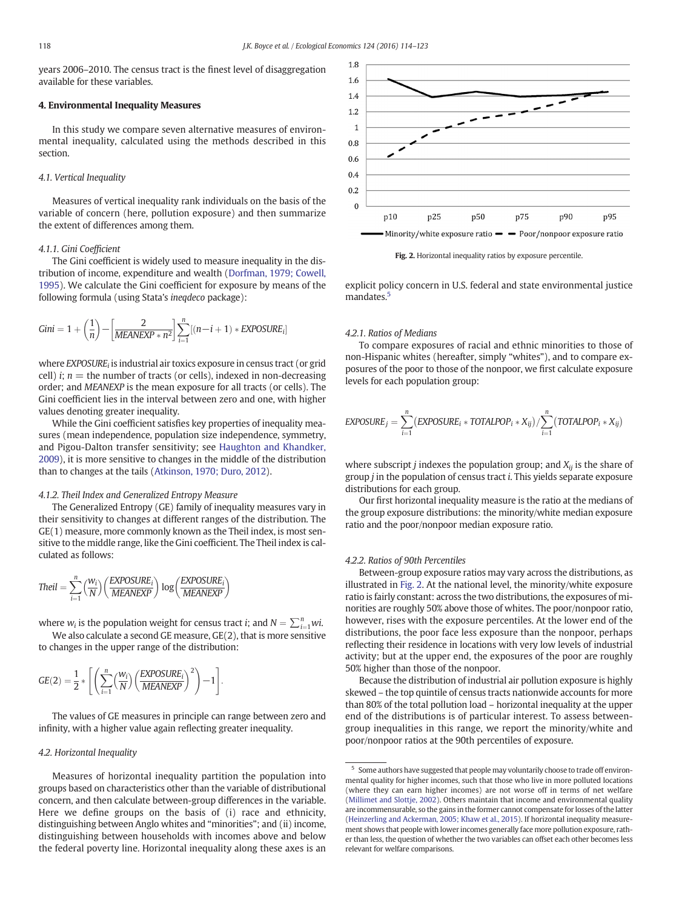<span id="page-4-0"></span>years 2006–2010. The census tract is the finest level of disaggregation available for these variables.

#### 4. Environmental Inequality Measures

In this study we compare seven alternative measures of environmental inequality, calculated using the methods described in this section.

#### 4.1. Vertical Inequality

Measures of vertical inequality rank individuals on the basis of the variable of concern (here, pollution exposure) and then summarize the extent of differences among them.

#### 4.1.1. Gini Coefficient

The Gini coefficient is widely used to measure inequality in the distribution of income, expenditure and wealth ([Dorfman, 1979; Cowell,](#page-9-0) [1995\)](#page-9-0). We calculate the Gini coefficient for exposure by means of the following formula (using Stata's ineqdeco package):

$$
Gini = 1 + \left(\frac{1}{n}\right) - \left[\frac{2}{\text{MEANEXP} * n^2}\right] \sum_{i=1}^{n} [(n-i+1) * EXPOSURE_i]
$$

where EXPOSURE; is industrial air toxics exposure in census tract (or grid cell) *i*;  $n =$  the number of tracts (or cells), indexed in non-decreasing order; and MEANEXP is the mean exposure for all tracts (or cells). The Gini coefficient lies in the interval between zero and one, with higher values denoting greater inequality.

While the Gini coefficient satisfies key properties of inequality measures (mean independence, population size independence, symmetry, and Pigou-Dalton transfer sensitivity; see [Haughton and Khandker,](#page-9-0) [2009\)](#page-9-0), it is more sensitive to changes in the middle of the distribution than to changes at the tails ([Atkinson, 1970; Duro, 2012](#page-9-0)).

#### 4.1.2. Theil Index and Generalized Entropy Measure

The Generalized Entropy (GE) family of inequality measures vary in their sensitivity to changes at different ranges of the distribution. The GE(1) measure, more commonly known as the Theil index, is most sensitive to the middle range, like the Gini coefficient. The Theil index is calculated as follows:

$$
Theil = \sum_{i=1}^{n} \left(\frac{w_i}{N}\right) \left(\frac{EXPOSURE_i}{MEANEXP}\right) \log \left(\frac{EXPOSURE_i}{MEANEXP}\right)
$$

where  $w_i$  is the population weight for census tract *i*; and  $N = \sum_{i=1}^{n} w_i$ .

We also calculate a second GE measure, GE(2), that is more sensitive to changes in the upper range of the distribution:

$$
GE(2)=\frac{1}{2}*\Bigg[\Bigg(\sum_{i=1}^n\Big(\frac{w_i}{N}\Big)\Bigg(\frac{EXPOSURE_i}{MEMEXP}\Bigg)^2\Bigg)-1\Bigg].
$$

The values of GE measures in principle can range between zero and infinity, with a higher value again reflecting greater inequality.

#### 4.2. Horizontal Inequality

Measures of horizontal inequality partition the population into groups based on characteristics other than the variable of distributional concern, and then calculate between-group differences in the variable. Here we define groups on the basis of (i) race and ethnicity, distinguishing between Anglo whites and "minorities"; and (ii) income, distinguishing between households with incomes above and below the federal poverty line. Horizontal inequality along these axes is an



Fig. 2. Horizontal inequality ratios by exposure percentile.

explicit policy concern in U.S. federal and state environmental justice mandates.<sup>5</sup>

#### 4.2.1. Ratios of Medians

To compare exposures of racial and ethnic minorities to those of non-Hispanic whites (hereafter, simply "whites"), and to compare exposures of the poor to those of the nonpoor, we first calculate exposure levels for each population group:

$$
EXPOSURE_j = \sum_{i=1}^{n} (EXPOSURE_i * TOTALPOP_i * X_{ij}) / \sum_{i=1}^{n} (TOTALPOP_i * X_{ij})
$$

where subscript *j* indexes the population group; and  $X_{ij}$  is the share of group  $j$  in the population of census tract  $i$ . This yields separate exposure distributions for each group.

Our first horizontal inequality measure is the ratio at the medians of the group exposure distributions: the minority/white median exposure ratio and the poor/nonpoor median exposure ratio.

#### 4.2.2. Ratios of 90th Percentiles

Between-group exposure ratios may vary across the distributions, as illustrated in Fig. 2. At the national level, the minority/white exposure ratio is fairly constant: across the two distributions, the exposures of minorities are roughly 50% above those of whites. The poor/nonpoor ratio, however, rises with the exposure percentiles. At the lower end of the distributions, the poor face less exposure than the nonpoor, perhaps reflecting their residence in locations with very low levels of industrial activity; but at the upper end, the exposures of the poor are roughly 50% higher than those of the nonpoor.

Because the distribution of industrial air pollution exposure is highly skewed – the top quintile of census tracts nationwide accounts for more than 80% of the total pollution load – horizontal inequality at the upper end of the distributions is of particular interest. To assess betweengroup inequalities in this range, we report the minority/white and poor/nonpoor ratios at the 90th percentiles of exposure.

<sup>5</sup> Some authors have suggested that people may voluntarily choose to trade off environmental quality for higher incomes, such that those who live in more polluted locations (where they can earn higher incomes) are not worse off in terms of net welfare ([Millimet and Slottje, 2002](#page-9-0)). Others maintain that income and environmental quality are incommensurable, so the gains in the former cannot compensate for losses of the latter [\(Heinzerling and Ackerman, 2005; Khaw et al., 2015](#page-9-0)). If horizontal inequality measurement shows that people with lower incomes generally face more pollution exposure, rather than less, the question of whether the two variables can offset each other becomes less relevant for welfare comparisons.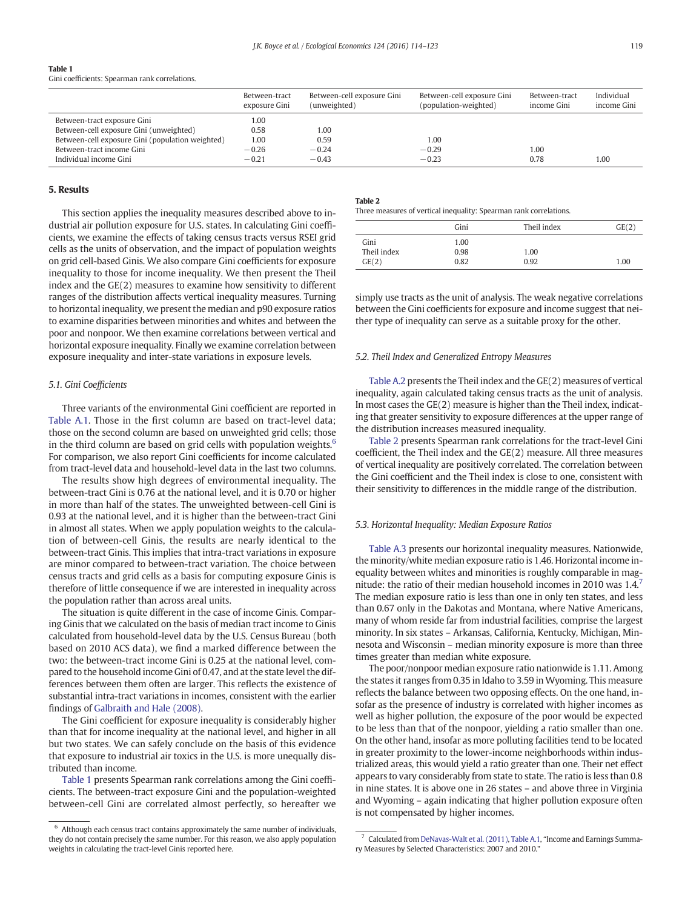#### <span id="page-5-0"></span>Table 1

Gini coefficients: Spearman rank correlations.

|                                                  | Between-tract<br>exposure Gini | Between-cell exposure Gini<br>(unweighted) | Between-cell exposure Gini<br>(population-weighted) | Between-tract<br>income Gini | Individual<br>income Gini |
|--------------------------------------------------|--------------------------------|--------------------------------------------|-----------------------------------------------------|------------------------------|---------------------------|
| Between-tract exposure Gini                      | 1.00                           |                                            |                                                     |                              |                           |
| Between-cell exposure Gini (unweighted)          | 0.58                           | 1.00                                       |                                                     |                              |                           |
| Between-cell exposure Gini (population weighted) | 1.00                           | 0.59                                       | 1.00                                                |                              |                           |
| Between-tract income Gini                        | $-0.26$                        | $-0.24$                                    | $-0.29$                                             | 1.00                         |                           |
| Individual income Gini                           | $-0.21$                        | $-0.43$                                    | $-0.23$                                             | 0.78                         | 1.00                      |

#### 5. Results

This section applies the inequality measures described above to industrial air pollution exposure for U.S. states. In calculating Gini coefficients, we examine the effects of taking census tracts versus RSEI grid cells as the units of observation, and the impact of population weights on grid cell-based Ginis. We also compare Gini coefficients for exposure inequality to those for income inequality. We then present the Theil index and the GE(2) measures to examine how sensitivity to different ranges of the distribution affects vertical inequality measures. Turning to horizontal inequality, we present the median and p90 exposure ratios to examine disparities between minorities and whites and between the poor and nonpoor. We then examine correlations between vertical and horizontal exposure inequality. Finally we examine correlation between exposure inequality and inter-state variations in exposure levels.

#### 5.1. Gini Coefficients

Three variants of the environmental Gini coefficient are reported in [Table A.1](#page-7-0). Those in the first column are based on tract-level data; those on the second column are based on unweighted grid cells; those in the third column are based on grid cells with population weights. $6$ For comparison, we also report Gini coefficients for income calculated from tract-level data and household-level data in the last two columns.

The results show high degrees of environmental inequality. The between-tract Gini is 0.76 at the national level, and it is 0.70 or higher in more than half of the states. The unweighted between-cell Gini is 0.93 at the national level, and it is higher than the between-tract Gini in almost all states. When we apply population weights to the calculation of between-cell Ginis, the results are nearly identical to the between-tract Ginis. This implies that intra-tract variations in exposure are minor compared to between-tract variation. The choice between census tracts and grid cells as a basis for computing exposure Ginis is therefore of little consequence if we are interested in inequality across the population rather than across areal units.

The situation is quite different in the case of income Ginis. Comparing Ginis that we calculated on the basis of median tract income to Ginis calculated from household-level data by the U.S. Census Bureau (both based on 2010 ACS data), we find a marked difference between the two: the between-tract income Gini is 0.25 at the national level, compared to the household income Gini of 0.47, and at the state level the differences between them often are larger. This reflects the existence of substantial intra-tract variations in incomes, consistent with the earlier findings of [Galbraith and Hale \(2008\).](#page-9-0)

The Gini coefficient for exposure inequality is considerably higher than that for income inequality at the national level, and higher in all but two states. We can safely conclude on the basis of this evidence that exposure to industrial air toxics in the U.S. is more unequally distributed than income.

Table 1 presents Spearman rank correlations among the Gini coefficients. The between-tract exposure Gini and the population-weighted between-cell Gini are correlated almost perfectly, so hereafter we

#### Table 2

Three measures of vertical inequality: Spearman rank correlations.

|             | Gini | Theil index | GE(2) |
|-------------|------|-------------|-------|
| Gini        | 1.00 |             |       |
| Theil index | 0.98 | 1.00        |       |
| GE(2)       | 0.82 | 0.92        | 1.00  |

simply use tracts as the unit of analysis. The weak negative correlations between the Gini coefficients for exposure and income suggest that neither type of inequality can serve as a suitable proxy for the other.

#### 5.2. Theil Index and Generalized Entropy Measures

[Table A.2](#page-8-0) presents the Theil index and the GE(2) measures of vertical inequality, again calculated taking census tracts as the unit of analysis. In most cases the GE(2) measure is higher than the Theil index, indicating that greater sensitivity to exposure differences at the upper range of the distribution increases measured inequality.

Table 2 presents Spearman rank correlations for the tract-level Gini coefficient, the Theil index and the GE(2) measure. All three measures of vertical inequality are positively correlated. The correlation between the Gini coefficient and the Theil index is close to one, consistent with their sensitivity to differences in the middle range of the distribution.

#### 5.3. Horizontal Inequality: Median Exposure Ratios

[Table A.3](#page-8-0) presents our horizontal inequality measures. Nationwide, the minority/white median exposure ratio is 1.46. Horizontal income inequality between whites and minorities is roughly comparable in magnitude: the ratio of their median household incomes in 2010 was 1.4.<sup>7</sup> The median exposure ratio is less than one in only ten states, and less than 0.67 only in the Dakotas and Montana, where Native Americans, many of whom reside far from industrial facilities, comprise the largest minority. In six states – Arkansas, California, Kentucky, Michigan, Minnesota and Wisconsin – median minority exposure is more than three times greater than median white exposure.

The poor/nonpoor median exposure ratio nationwide is 1.11. Among the states it ranges from 0.35 in Idaho to 3.59 in Wyoming. This measure reflects the balance between two opposing effects. On the one hand, insofar as the presence of industry is correlated with higher incomes as well as higher pollution, the exposure of the poor would be expected to be less than that of the nonpoor, yielding a ratio smaller than one. On the other hand, insofar as more polluting facilities tend to be located in greater proximity to the lower-income neighborhoods within industrialized areas, this would yield a ratio greater than one. Their net effect appears to vary considerably from state to state. The ratio is less than 0.8 in nine states. It is above one in 26 states – and above three in Virginia and Wyoming – again indicating that higher pollution exposure often is not compensated by higher incomes.

 $6$  Although each census tract contains approximately the same number of individuals, they do not contain precisely the same number. For this reason, we also apply population weights in calculating the tract-level Ginis reported here.

<sup>7</sup> Calculated from [DeNavas-Walt et al. \(2011\),](#page-9-0) [Table A.1,](#page-7-0) "Income and Earnings Summary Measures by Selected Characteristics: 2007 and 2010."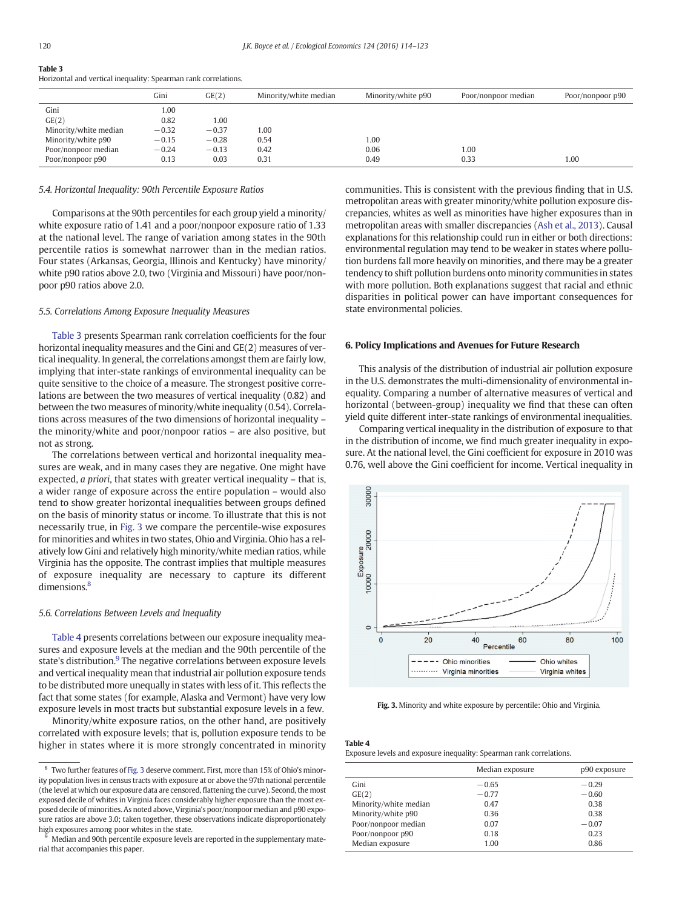#### <span id="page-6-0"></span>Table 3

Horizontal and vertical inequality: Spearman rank correlations.

|                       | Gini    | GE(2)   | Minority/white median | Minority/white p90 | Poor/nonpoor median | Poor/nonpoor p90 |
|-----------------------|---------|---------|-----------------------|--------------------|---------------------|------------------|
| Gini                  | 1.00    |         |                       |                    |                     |                  |
| GE(2)                 | 0.82    | 1.00    |                       |                    |                     |                  |
| Minority/white median | $-0.32$ | $-0.37$ | 1.00                  |                    |                     |                  |
| Minority/white p90    | $-0.15$ | $-0.28$ | 0.54                  | 1.00               |                     |                  |
| Poor/nonpoor median   | $-0.24$ | $-0.13$ | 0.42                  | 0.06               | 1.00                |                  |
| Poor/nonpoor p90      | 0.13    | 0.03    | 0.31                  | 0.49               | 0.33                | 1.00             |

#### 5.4. Horizontal Inequality: 90th Percentile Exposure Ratios

Comparisons at the 90th percentiles for each group yield a minority/ white exposure ratio of 1.41 and a poor/nonpoor exposure ratio of 1.33 at the national level. The range of variation among states in the 90th percentile ratios is somewhat narrower than in the median ratios. Four states (Arkansas, Georgia, Illinois and Kentucky) have minority/ white p90 ratios above 2.0, two (Virginia and Missouri) have poor/nonpoor p90 ratios above 2.0.

#### 5.5. Correlations Among Exposure Inequality Measures

Table 3 presents Spearman rank correlation coefficients for the four horizontal inequality measures and the Gini and GE(2) measures of vertical inequality. In general, the correlations amongst them are fairly low, implying that inter-state rankings of environmental inequality can be quite sensitive to the choice of a measure. The strongest positive correlations are between the two measures of vertical inequality (0.82) and between the two measures of minority/white inequality (0.54). Correlations across measures of the two dimensions of horizontal inequality – the minority/white and poor/nonpoor ratios – are also positive, but not as strong.

The correlations between vertical and horizontal inequality measures are weak, and in many cases they are negative. One might have expected, a priori, that states with greater vertical inequality – that is, a wider range of exposure across the entire population – would also tend to show greater horizontal inequalities between groups defined on the basis of minority status or income. To illustrate that this is not necessarily true, in Fig. 3 we compare the percentile-wise exposures for minorities and whites in two states, Ohio and Virginia. Ohio has a relatively low Gini and relatively high minority/white median ratios, while Virginia has the opposite. The contrast implies that multiple measures of exposure inequality are necessary to capture its different dimensions. $8$ 

#### 5.6. Correlations Between Levels and Inequality

Table 4 presents correlations between our exposure inequality measures and exposure levels at the median and the 90th percentile of the state's distribution.<sup>9</sup> The negative correlations between exposure levels and vertical inequality mean that industrial air pollution exposure tends to be distributed more unequally in states with less of it. This reflects the fact that some states (for example, Alaska and Vermont) have very low exposure levels in most tracts but substantial exposure levels in a few.

Minority/white exposure ratios, on the other hand, are positively correlated with exposure levels; that is, pollution exposure tends to be higher in states where it is more strongly concentrated in minority communities. This is consistent with the previous finding that in U.S. metropolitan areas with greater minority/white pollution exposure discrepancies, whites as well as minorities have higher exposures than in metropolitan areas with smaller discrepancies ([Ash et al., 2013\)](#page-9-0). Causal explanations for this relationship could run in either or both directions: environmental regulation may tend to be weaker in states where pollution burdens fall more heavily on minorities, and there may be a greater tendency to shift pollution burdens onto minority communities in states with more pollution. Both explanations suggest that racial and ethnic disparities in political power can have important consequences for state environmental policies.

#### 6. Policy Implications and Avenues for Future Research

This analysis of the distribution of industrial air pollution exposure in the U.S. demonstrates the multi-dimensionality of environmental inequality. Comparing a number of alternative measures of vertical and horizontal (between-group) inequality we find that these can often yield quite different inter-state rankings of environmental inequalities.

Comparing vertical inequality in the distribution of exposure to that in the distribution of income, we find much greater inequality in exposure. At the national level, the Gini coefficient for exposure in 2010 was 0.76, well above the Gini coefficient for income. Vertical inequality in



Fig. 3. Minority and white exposure by percentile: Ohio and Virginia.

#### Table 4

Exposure levels and exposure inequality: Spearman rank correlations.

| Median exposure | p90 exposure |
|-----------------|--------------|
| $-0.65$         | $-0.29$      |
| $-0.77$         | $-0.60$      |
| 0.47            | 0.38         |
| 0.36            | 0.38         |
| 0.07            | $-0.07$      |
| 0.18            | 0.23         |
| 1.00            | 0.86         |
|                 |              |

 $8$  Two further features of Fig. 3 deserve comment. First, more than 15% of Ohio's minority population lives in census tracts with exposure at or above the 97th national percentile (the level at which our exposure data are censored, flattening the curve). Second, the most exposed decile of whites in Virginia faces considerably higher exposure than the most exposed decile of minorities. As noted above, Virginia's poor/nonpoor median and p90 exposure ratios are above 3.0; taken together, these observations indicate disproportionately high exposures among poor whites in the state.

 $9\,$  Median and 90th percentile exposure levels are reported in the supplementary material that accompanies this paper.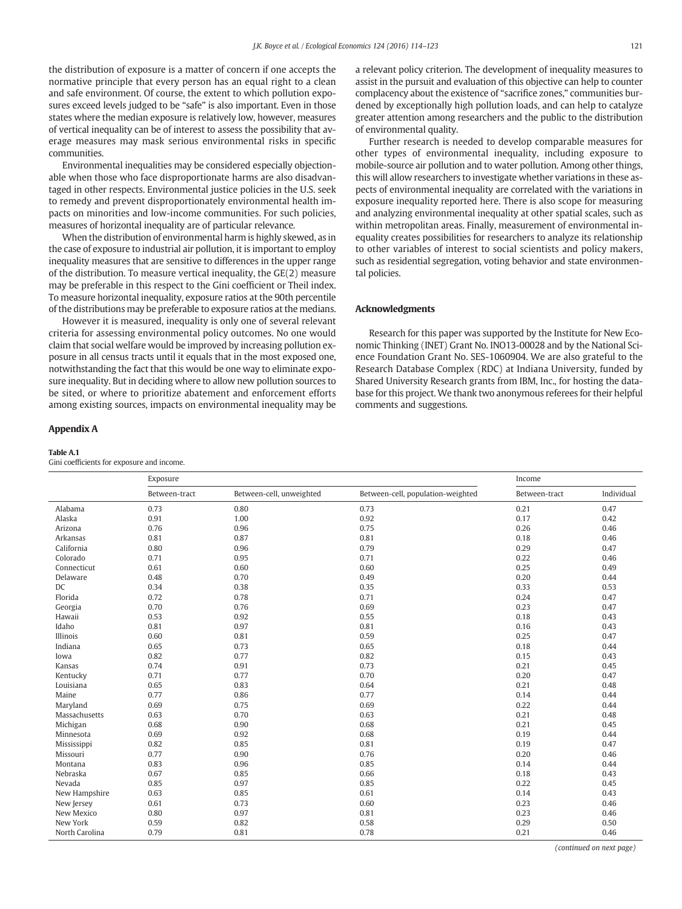<span id="page-7-0"></span>the distribution of exposure is a matter of concern if one accepts the normative principle that every person has an equal right to a clean and safe environment. Of course, the extent to which pollution exposures exceed levels judged to be "safe" is also important. Even in those states where the median exposure is relatively low, however, measures of vertical inequality can be of interest to assess the possibility that average measures may mask serious environmental risks in specific communities.

Environmental inequalities may be considered especially objectionable when those who face disproportionate harms are also disadvantaged in other respects. Environmental justice policies in the U.S. seek to remedy and prevent disproportionately environmental health impacts on minorities and low-income communities. For such policies, measures of horizontal inequality are of particular relevance.

When the distribution of environmental harm is highly skewed, as in the case of exposure to industrial air pollution, it is important to employ inequality measures that are sensitive to differences in the upper range of the distribution. To measure vertical inequality, the GE(2) measure may be preferable in this respect to the Gini coefficient or Theil index. To measure horizontal inequality, exposure ratios at the 90th percentile of the distributions may be preferable to exposure ratios at the medians.

However it is measured, inequality is only one of several relevant criteria for assessing environmental policy outcomes. No one would claim that social welfare would be improved by increasing pollution exposure in all census tracts until it equals that in the most exposed one, notwithstanding the fact that this would be one way to eliminate exposure inequality. But in deciding where to allow new pollution sources to be sited, or where to prioritize abatement and enforcement efforts among existing sources, impacts on environmental inequality may be

#### Appendix A

#### Table A.1

Gini coefficients for exposure and income.

a relevant policy criterion. The development of inequality measures to assist in the pursuit and evaluation of this objective can help to counter complacency about the existence of "sacrifice zones," communities burdened by exceptionally high pollution loads, and can help to catalyze greater attention among researchers and the public to the distribution of environmental quality.

Further research is needed to develop comparable measures for other types of environmental inequality, including exposure to mobile-source air pollution and to water pollution. Among other things, this will allow researchers to investigate whether variations in these aspects of environmental inequality are correlated with the variations in exposure inequality reported here. There is also scope for measuring and analyzing environmental inequality at other spatial scales, such as within metropolitan areas. Finally, measurement of environmental inequality creates possibilities for researchers to analyze its relationship to other variables of interest to social scientists and policy makers, such as residential segregation, voting behavior and state environmental policies.

#### Acknowledgments

Research for this paper was supported by the Institute for New Economic Thinking (INET) Grant No. INO13-00028 and by the National Science Foundation Grant No. SES-1060904. We are also grateful to the Research Database Complex (RDC) at Indiana University, funded by Shared University Research grants from IBM, Inc., for hosting the database for this project. We thank two anonymous referees for their helpful comments and suggestions.

|                | Exposure      |                          | Income                            |               |            |
|----------------|---------------|--------------------------|-----------------------------------|---------------|------------|
|                | Between-tract | Between-cell, unweighted | Between-cell, population-weighted | Between-tract | Individual |
| Alabama        | 0.73          | 0.80                     | 0.73                              | 0.21          | 0.47       |
| Alaska         | 0.91          | 1.00                     | 0.92                              | 0.17          | 0.42       |
| Arizona        | 0.76          | 0.96                     | 0.75                              | 0.26          | 0.46       |
| Arkansas       | 0.81          | 0.87                     | 0.81                              | 0.18          | 0.46       |
| California     | 0.80          | 0.96                     | 0.79                              | 0.29          | 0.47       |
| Colorado       | 0.71          | 0.95                     | 0.71                              | 0.22          | 0.46       |
| Connecticut    | 0.61          | 0.60                     | 0.60                              | 0.25          | 0.49       |
| Delaware       | 0.48          | 0.70                     | 0.49                              | 0.20          | 0.44       |
| DC             | 0.34          | 0.38                     | 0.35                              | 0.33          | 0.53       |
| Florida        | 0.72          | 0.78                     | 0.71                              | 0.24          | 0.47       |
| Georgia        | 0.70          | 0.76                     | 0.69                              | 0.23          | 0.47       |
| Hawaii         | 0.53          | 0.92                     | 0.55                              | 0.18          | 0.43       |
| Idaho          | 0.81          | 0.97                     | 0.81                              | 0.16          | 0.43       |
| Illinois       | 0.60          | 0.81                     | 0.59                              | 0.25          | 0.47       |
| Indiana        | 0.65          | 0.73                     | 0.65                              | 0.18          | 0.44       |
| Iowa           | 0.82          | 0.77                     | 0.82                              | 0.15          | 0.43       |
| Kansas         | 0.74          | 0.91                     | 0.73                              | 0.21          | 0.45       |
| Kentucky       | 0.71          | 0.77                     | 0.70                              | 0.20          | 0.47       |
| Louisiana      | 0.65          | 0.83                     | 0.64                              | 0.21          | 0.48       |
| Maine          | 0.77          | 0.86                     | 0.77                              | 0.14          | 0.44       |
| Maryland       | 0.69          | 0.75                     | 0.69                              | 0.22          | 0.44       |
| Massachusetts  | 0.63          | 0.70                     | 0.63                              | 0.21          | 0.48       |
| Michigan       | 0.68          | 0.90                     | 0.68                              | 0.21          | 0.45       |
| Minnesota      | 0.69          | 0.92                     | 0.68                              | 0.19          | 0.44       |
| Mississippi    | 0.82          | 0.85                     | 0.81                              | 0.19          | 0.47       |
| Missouri       | 0.77          | 0.90                     | 0.76                              | 0.20          | 0.46       |
| Montana        | 0.83          | 0.96                     | 0.85                              | 0.14          | 0.44       |
| Nebraska       | 0.67          | 0.85                     | 0.66                              | 0.18          | 0.43       |
| Nevada         | 0.85          | 0.97                     | 0.85                              | 0.22          | 0.45       |
| New Hampshire  | 0.63          | 0.85                     | 0.61                              | 0.14          | 0.43       |
| New Jersey     | 0.61          | 0.73                     | 0.60                              | 0.23          | 0.46       |
| New Mexico     | 0.80          | 0.97                     | 0.81                              | 0.23          | 0.46       |
| New York       | 0.59          | 0.82                     | 0.58                              | 0.29          | 0.50       |
| North Carolina | 0.79          | 0.81                     | 0.78                              | 0.21          | 0.46       |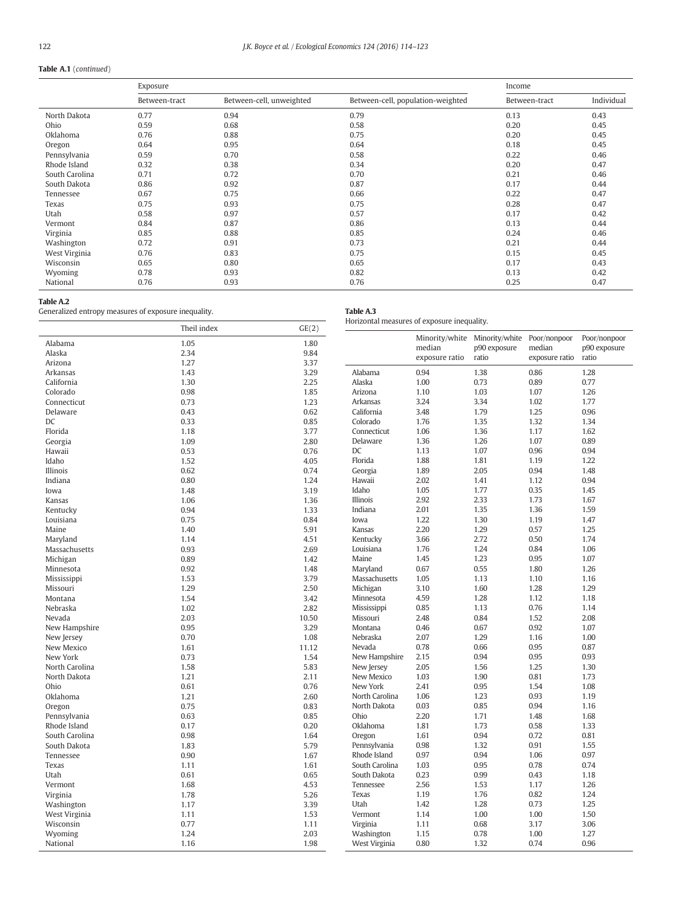#### <span id="page-8-0"></span>Table A.1 (continued)

|                | Exposure      | Income                   |                                   |               |            |
|----------------|---------------|--------------------------|-----------------------------------|---------------|------------|
|                | Between-tract | Between-cell, unweighted | Between-cell, population-weighted | Between-tract | Individual |
| North Dakota   | 0.77          | 0.94                     | 0.79                              | 0.13          | 0.43       |
| Ohio           | 0.59          | 0.68                     | 0.58                              | 0.20          | 0.45       |
| Oklahoma       | 0.76          | 0.88                     | 0.75                              | 0.20          | 0.45       |
| Oregon         | 0.64          | 0.95                     | 0.64                              | 0.18          | 0.45       |
| Pennsylvania   | 0.59          | 0.70                     | 0.58                              | 0.22          | 0.46       |
| Rhode Island   | 0.32          | 0.38                     | 0.34                              | 0.20          | 0.47       |
| South Carolina | 0.71          | 0.72                     | 0.70                              | 0.21          | 0.46       |
| South Dakota   | 0.86          | 0.92                     | 0.87                              | 0.17          | 0.44       |
| Tennessee      | 0.67          | 0.75                     | 0.66                              | 0.22          | 0.47       |
| Texas          | 0.75          | 0.93                     | 0.75                              | 0.28          | 0.47       |
| Utah           | 0.58          | 0.97                     | 0.57                              | 0.17          | 0.42       |
| Vermont        | 0.84          | 0.87                     | 0.86                              | 0.13          | 0.44       |
| Virginia       | 0.85          | 0.88                     | 0.85                              | 0.24          | 0.46       |
| Washington     | 0.72          | 0.91                     | 0.73                              | 0.21          | 0.44       |
| West Virginia  | 0.76          | 0.83                     | 0.75                              | 0.15          | 0.45       |
| Wisconsin      | 0.65          | 0.80                     | 0.65                              | 0.17          | 0.43       |
| Wyoming        | 0.78          | 0.93                     | 0.82                              | 0.13          | 0.42       |
| National       | 0.76          | 0.93                     | 0.76                              | 0.25          | 0.47       |

#### Table A.2

Generalized entropy measures of exposure inequality.

|                | Theil index | GE(2) | Horizontal measures of exposure inequality. |                |                               |                |       |
|----------------|-------------|-------|---------------------------------------------|----------------|-------------------------------|----------------|-------|
| Alabama        | 1.05        | 1.80  |                                             |                | Minority/white Minority/white | Poor/nonpoor   | Poo   |
| Alaska         | 2.34        | 9.84  |                                             | median         | p90 exposure                  | median         | p90   |
| Arizona        | 1.27        | 3.37  |                                             | exposure ratio | ratio                         | exposure ratio | ratio |
| Arkansas       | 1.43        | 3.29  | Alabama                                     | 0.94           | 1.38                          | 0.86           | 1.28  |
| California     | 1.30        | 2.25  | Alaska                                      | 1.00           | 0.73                          | 0.89           | 0.77  |
| Colorado       | 0.98        | 1.85  | Arizona                                     | 1.10           | 1.03                          | 1.07           | 1.26  |
| Connecticut    | 0.73        | 1.23  | <b>Arkansas</b>                             | 3.24           | 3.34                          | 1.02           | 1.77  |
| Delaware       | 0.43        | 0.62  | California                                  | 3.48           | 1.79                          | 1.25           | 0.96  |
| DC             | 0.33        | 0.85  | Colorado                                    | 1.76           | 1.35                          | 1.32           | 1.34  |
| Florida        | 1.18        | 3.77  | Connecticut                                 | 1.06           | 1.36                          | 1.17           | 1.62  |
| Georgia        | 1.09        | 2.80  | Delaware                                    | 1.36           | 1.26                          | 1.07           | 0.89  |
| Hawaii         | 0.53        | 0.76  | DC                                          | 1.13           | 1.07                          | 0.96           | 0.94  |
| Idaho          | 1.52        | 4.05  | Florida                                     | 1.88           | 1.81                          | 1.19           | 1.22  |
| Illinois       | 0.62        | 0.74  | Georgia                                     | 1.89           | 2.05                          | 0.94           | 1.48  |
| Indiana        | 0.80        | 1.24  | Hawaii                                      | 2.02           | 1.41                          | 1.12           | 0.94  |
| Iowa           | 1.48        | 3.19  | Idaho                                       | 1.05           | 1.77                          | 0.35           | 1.45  |
| Kansas         | 1.06        | 1.36  | Illinois                                    | 2.92           | 2.33                          | 1.73           | 1.67  |
| Kentucky       | 0.94        | 1.33  | Indiana                                     | 2.01           | 1.35                          | 1.36           | 1.59  |
| Louisiana      | 0.75        | 0.84  | Iowa                                        | 1.22           | 1.30                          | 1.19           | 1.47  |
| Maine          | 1.40        | 5.91  | Kansas                                      | 2.20           | 1.29                          | 0.57           | 1.25  |
| Maryland       | 1.14        | 4.51  | Kentucky                                    | 3.66           | 2.72                          | 0.50           | 1.74  |
| Massachusetts  | 0.93        | 2.69  | Louisiana                                   | 1.76           | 1.24                          | 0.84           | 1.06  |
| Michigan       | 0.89        | 1.42  | Maine                                       | 1.45           | 1.23                          | 0.95           | 1.07  |
| Minnesota      | 0.92        | 1.48  | Maryland                                    | 0.67           | 0.55                          | 1.80           | 1.26  |
| Mississippi    | 1.53        | 3.79  | Massachusetts                               | 1.05           | 1.13                          | 1.10           | 1.16  |
| Missouri       | 1.29        | 2.50  | Michigan                                    | 3.10           | 1.60                          | 1.28           | 1.29  |
| Montana        | 1.54        | 3.42  | Minnesota                                   | 4.59           | 1.28                          | 1.12           | 1.18  |
| Nebraska       | 1.02        | 2.82  | Mississippi                                 | 0.85           | 1.13                          | 0.76           | 1.14  |
| Nevada         | 2.03        | 10.50 | Missouri                                    | 2.48           | 0.84                          | 1.52           | 2.08  |
| New Hampshire  | 0.95        | 3.29  | Montana                                     | 0.46           | 0.67                          | 0.92           | 1.07  |
| New Jersey     | 0.70        | 1.08  | Nebraska                                    | 2.07           | 1.29                          | 1.16           | 1.00  |
| New Mexico     | 1.61        | 11.12 | Nevada                                      | 0.78           | 0.66                          | 0.95           | 0.87  |
| New York       | 0.73        | 1.54  | New Hampshire                               | 2.15           | 0.94                          | 0.95           | 0.93  |
| North Carolina | 1.58        | 5.83  | New Jersey                                  | 2.05           | 1.56                          | 1.25           | 1.30  |
| North Dakota   | 1.21        | 2.11  | New Mexico                                  | 1.03           | 1.90                          | 0.81           | 1.73  |
| Ohio           | 0.61        | 0.76  | New York                                    | 2.41           | 0.95                          | 1.54           | 1.08  |
| Oklahoma       | 1.21        | 2.60  | North Carolina                              | 1.06           | 1.23                          | 0.93           | 1.19  |
| Oregon         | 0.75        | 0.83  | North Dakota                                | 0.03           | 0.85                          | 0.94           | 1.16  |
| Pennsylvania   | 0.63        | 0.85  | Ohio                                        | 2.20           | 1.71                          | 1.48           | 1.68  |
| Rhode Island   | 0.17        | 0.20  | Oklahoma                                    | 1.81           | 1.73                          | 0.58           | 1.33  |
| South Carolina | 0.98        | 1.64  | Oregon                                      | 1.61           | 0.94                          | 0.72           | 0.81  |
| South Dakota   | 1.83        | 5.79  | Pennsylvania                                | 0.98           | 1.32                          | 0.91           | 1.55  |
| Tennessee      | 0.90        | 1.67  | Rhode Island                                | 0.97           | 0.94                          | 1.06           | 0.97  |
| Texas          | 1.11        | 1.61  | South Carolina                              | 1.03           | 0.95                          | 0.78           | 0.74  |
| Utah           | 0.61        | 0.65  | South Dakota                                | 0.23           | 0.99                          | 0.43           | 1.18  |
| Vermont        | 1.68        | 4.53  | Tennessee                                   | 2.56           | 1.53                          | 1.17           | 1.26  |
| Virginia       | 1.78        | 5.26  | Texas                                       | 1.19           | 1.76                          | 0.82           | 1.24  |
| Washington     | 1.17        | 3.39  | Utah                                        | 1.42           | 1.28                          | 0.73           | 1.25  |
| West Virginia  | 1.11        | 1.53  | Vermont                                     | 1.14           | 1.00                          | 1.00           | 1.50  |
| Wisconsin      | 0.77        | 1.11  | Virginia                                    | 1.11           | 0.68                          | 3.17           | 3.06  |
| Wyoming        | 1.24        | 2.03  | Washington                                  | 1.15           | 0.78                          | 1.00           | 1.27  |
| National       | 1.16        | 1.98  | West Virginia                               | 0.80           | 1.32                          | 0.74           | 0.96  |
|                |             |       |                                             |                |                               |                |       |

#### Table A.3

|                      | Minority/white<br>median<br>exposure ratio | Minority/white<br>p90 exposure<br>ratio | Poor/nonpoor<br>median<br>exposure ratio | Poor/nonpoor<br>p90 exposure<br>ratio |
|----------------------|--------------------------------------------|-----------------------------------------|------------------------------------------|---------------------------------------|
| Alabama              | 0.94                                       | 1.38                                    | 0.86                                     | 1.28                                  |
| Alaska               | 1.00                                       | 0.73                                    | 0.89                                     | 0.77                                  |
| Arizona              | 1.10                                       | 1.03                                    | 1.07                                     | 1.26                                  |
| <b>Arkansas</b>      | 3.24                                       | 3.34                                    | 1.02                                     | 1.77                                  |
| California           | 3.48                                       | 1.79                                    | 1.25                                     | 0.96                                  |
| Colorado             | 1.76                                       | 1.35                                    | 1.32                                     | 1.34                                  |
| Connecticut          | 1.06                                       | 1.36                                    | 1.17                                     | 1.62                                  |
| Delaware             | 1.36                                       | 1.26                                    | 1.07                                     | 0.89                                  |
| DC.                  | 1.13                                       | 1.07                                    | 0.96                                     | 0.94                                  |
| Florida              | 1.88                                       | 1.81                                    | 1.19                                     | 1.22                                  |
| Georgia              | 1.89                                       | 2.05                                    | 0.94                                     | 1.48                                  |
| Hawaii               | 2.02                                       | 1.41                                    | 1.12                                     | 0.94                                  |
| Idaho                | 1.05                                       | 1.77                                    | 0.35                                     | 1.45                                  |
| Illinois             | 2.92                                       | 2.33                                    | 1.73                                     | 1.67                                  |
| Indiana              | 2.01                                       | 1.35                                    | 1.36                                     | 1.59                                  |
| Iowa                 | 1.22                                       | 1.30                                    | 1.19                                     | 1.47                                  |
| Kansas               | 2.20                                       | 1.29                                    | 0.57                                     | 1.25                                  |
| Kentucky             | 3.66                                       | 2.72                                    | 0.50                                     | 1.74                                  |
| Louisiana            | 1.76                                       | 1.24                                    | 0.84                                     | 1.06                                  |
| Maine                | 1.45                                       | 1.23                                    | 0.95                                     | 1.07                                  |
| Maryland             | 0.67                                       | 0.55                                    | 1.80                                     | 1.26                                  |
| <b>Massachusetts</b> | 1.05                                       | 1.13                                    | 1.10                                     | 1.16                                  |
| Michigan             | 3.10                                       | 1.60                                    | 1.28                                     | 1.29                                  |
| Minnesota            | 4.59                                       | 1.28                                    | 1.12                                     | 1.18                                  |
| Mississippi          | 0.85                                       | 1.13                                    | 0.76                                     | 1.14                                  |
| Missouri             | 2.48                                       | 0.84                                    | 1.52                                     | 2.08                                  |
| Montana              | 0.46                                       | 0.67                                    | 0.92                                     | 1.07                                  |
| Nebraska             | 2.07                                       | 1.29                                    | 1.16                                     | 1.00                                  |
| Nevada               | 0.78                                       | 0.66                                    | 0.95                                     | 0.87                                  |
| New Hampshire        | 2.15                                       | 0.94                                    | 0.95                                     | 0.93                                  |
| New Jersey           | 2.05                                       | 1.56                                    | 1.25                                     | 1.30                                  |
| New Mexico           | 1.03                                       | 1.90                                    | 0.81                                     | 1.73                                  |
| New York             | 2.41                                       | 0.95                                    | 1.54                                     | 1.08                                  |
| North Carolina       | 1.06                                       | 1.23                                    | 0.93                                     | 1.19                                  |
| North Dakota         | 0.03                                       | 0.85                                    | 0.94                                     | 1.16                                  |
| Ohio                 | 2.20                                       | 1.71                                    | 1.48                                     | 1.68                                  |
| Oklahoma             | 1.81                                       | 1.73                                    | 0.58                                     | 1.33                                  |
| Oregon               | 1.61                                       | 0.94                                    | 0.72                                     | 0.81                                  |
| Pennsylvania         | 0.98                                       | 1.32                                    | 0.91                                     | 1.55                                  |
| Rhode Island         | 0.97                                       | 0.94                                    | 1.06                                     | 0.97                                  |
| South Carolina       | 1.03                                       | 0.95                                    | 0.78                                     | 0.74                                  |
| South Dakota         | 0.23                                       | 0.99                                    | 0.43                                     | 1.18                                  |
| Tennessee            | 2.56                                       | 1.53                                    | 1.17                                     | 1.26                                  |
| Texas                | 1.19                                       | 1.76                                    | 0.82                                     | 1.24                                  |
| Utah                 | 1.42                                       | 1.28                                    | 0.73                                     | 1.25                                  |
| Vermont              | 1.14                                       | 1.00                                    | 1.00                                     | 1.50                                  |
| Virginia             | 1.11                                       | 0.68                                    | 3.17                                     | 3.06                                  |
|                      |                                            |                                         |                                          |                                       |